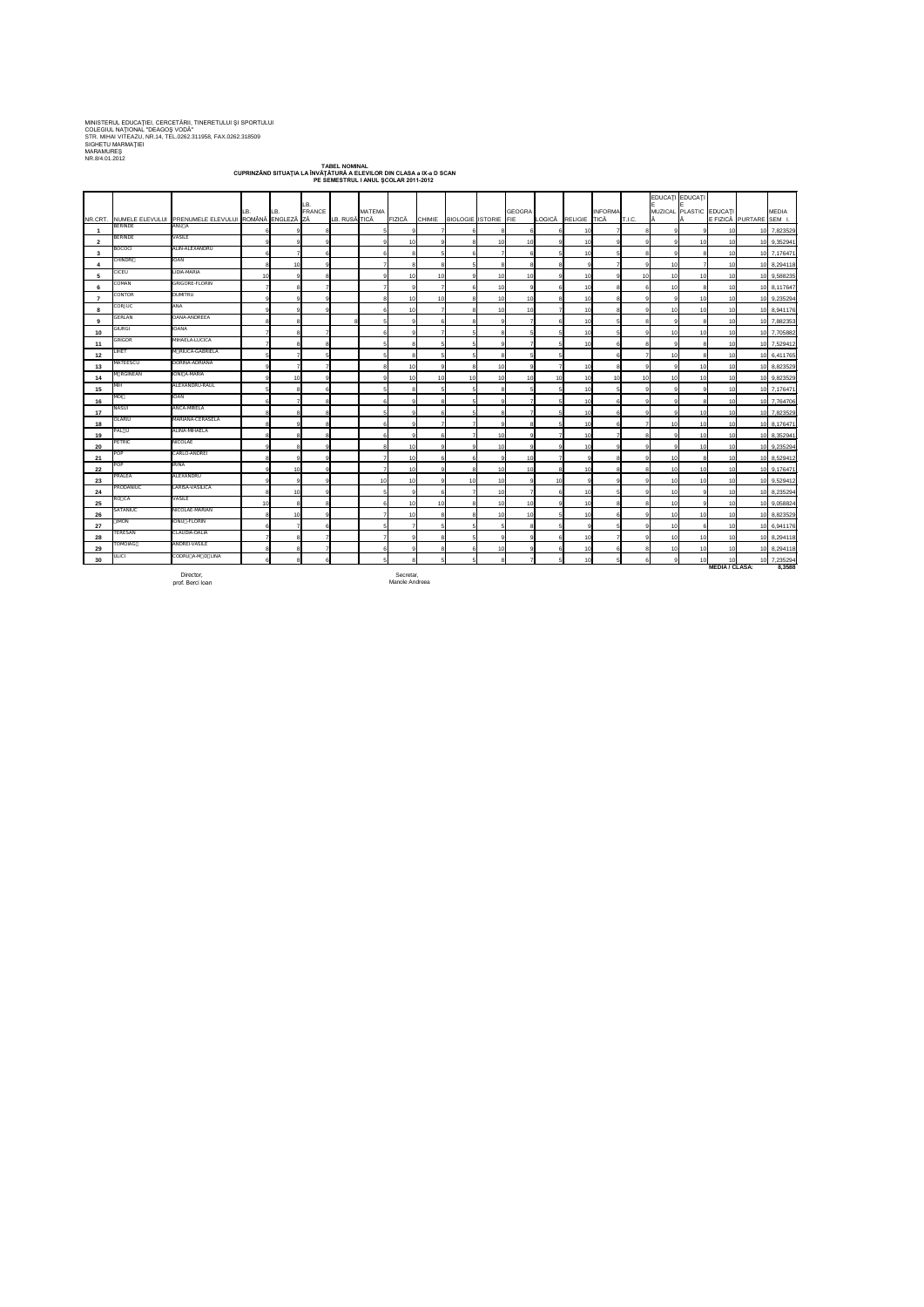MINISTERUL EDUCAŢIEI, CERCETĂRII, TINERETULUI ŞI SPORTULUI COLEGIUL NAŢIONAL "DEAGOŞ VODĂ" STR. MIHAI VITEAZU, NR.14, TEL.0262.311958, FAX.0262.318509 SIGHETU MARMAŢIEI MARAMUREŞ NR.8/4.01.2012

prof. Berci Ioan Manole Andreea<br>prof. Berci Ioan Manole Andreea

**TABEL NOMINAL CUPRINZÂND SITUAŢIA LA ÎNVĂŢĂTURĂ A ELEVILOR DIN CLASA a IX-a D SCAN PE SEMESTRUL I ANUL ŞCOLAR 2011-2012**

|                |                |                                                              |     |          | LB.          |               |                 |                 |                 |                      |                |               |        |              |                |               | EDUCAȚI EDUCAȚI               |                                    |                       |                         |              |
|----------------|----------------|--------------------------------------------------------------|-----|----------|--------------|---------------|-----------------|-----------------|-----------------|----------------------|----------------|---------------|--------|--------------|----------------|---------------|-------------------------------|------------------------------------|-----------------------|-------------------------|--------------|
|                |                | NR.CRT. NUMELE ELEVULUI PRENUMELE ELEVULUI ROMÂNĂ ENGLEZĂ ZĂ | LB. | LB.      | FRANCE       | LB. RUSĂ TICĂ | <b>MATEMA</b>   | FIZICĂ          | <b>CHIMIE</b>   | BIOLOGIE ISTORIE FIE |                | <b>GEOGRA</b> | LOGICĂ | RELIGIE TICĂ | <b>INFORMA</b> | <b>T.I.C.</b> | MUZICAL PLASTIC EDUCATI<br>I٨ |                                    |                       | E FIZICĂ PURTARE SEM I. | <b>MEDIA</b> |
|                | <b>BERINDE</b> | ANU A                                                        |     |          |              |               |                 | ۰Q              |                 |                      |                |               |        | -10          |                |               |                               |                                    | 10 <sup>1</sup>       | 10 7,823529             |              |
| $\overline{2}$ | <b>BERINDE</b> | <b>VASILE</b>                                                |     |          |              |               |                 | 10              |                 |                      |                |               |        | -10          |                |               |                               | 10 <sup>1</sup>                    | 10                    | 10 9,352941             |              |
| $\mathbf{3}$   | <b>BOCOCI</b>  | ALIN-ALEXANDRU                                               |     |          |              |               |                 |                 |                 |                      |                |               |        | 10           |                |               |                               |                                    | 10                    | 10 7,176471             |              |
|                | <b>CHINDRI</b> | <b>IOAN</b>                                                  |     | 10       |              |               |                 |                 |                 |                      |                |               |        |              |                |               | 10                            |                                    | 10 <sup>1</sup>       | 10 8,294118             |              |
| 5              | <b>CICEU</b>   | LIDIA-MARIA                                                  | 10  | <b>g</b> |              |               |                 | 10              | 10 <sup>1</sup> |                      |                |               |        | -10          |                | 10            | 10                            | 10 <sup>1</sup>                    | 10                    |                         |              |
|                | COMAN          | <b>GRIGORE-FLORIN</b>                                        |     |          |              |               |                 | ۰Q              |                 |                      |                |               |        | -10          |                |               | 10                            |                                    |                       | 10 9,588235             |              |
| 6              | CONTOR         | <b>DUMITRU</b>                                               |     |          |              |               |                 |                 |                 |                      |                |               |        |              |                |               |                               |                                    | 10                    | 10 8,117647             |              |
|                | CORJUC         | ANA                                                          |     |          |              |               |                 | 10              | 10 <sup>1</sup> |                      |                |               |        | -10<br>10    |                |               | 10                            | 10 <sup>1</sup><br>10 <sup>1</sup> | 10                    | 10 9,235294             |              |
| 8              | GERLAN         | OANA-ANDREEA                                                 |     |          |              |               |                 | 10              |                 |                      |                |               |        |              |                |               |                               |                                    | 10                    | 10 8,941176             |              |
| 9              | GIURGI         | <b>IOANA</b>                                                 |     |          |              |               |                 |                 | 6               |                      |                |               |        | -10          |                |               |                               |                                    | 10                    | 10 7,882353             |              |
| 10             | GRIGOR         | MIHAELA-LUCICA                                               |     |          |              |               |                 |                 |                 |                      |                |               |        | -10          |                |               |                               | 10 <sup>1</sup>                    | 10 <sup>1</sup>       | 10 7,705882             |              |
| 11             | <b>LIHET</b>   | M RIUCA-GABRIELA                                             |     |          |              |               |                 |                 |                 |                      |                |               |        | 10           |                |               |                               |                                    | 10                    | 10 7,529412             |              |
| 12             | MATEESCU       | DORINA-ADRIANA                                               |     |          |              |               |                 | 8               |                 |                      |                |               |        |              |                |               | 10                            |                                    | 10                    | 10 6,411765             |              |
| 13             | M RGINEAN      | IONI A-MARIA                                                 |     |          |              |               |                 | 10              |                 |                      |                |               |        |              |                |               |                               | 10 <sup>1</sup>                    | 10 <sup>1</sup>       | 10 8,823529             |              |
| 14             | MIH            | ALEXANDRU-RAUL                                               |     | 10       | Q            |               |                 | 10              | 10 <sup>1</sup> | 10 <sup>1</sup>      | 10             | 1C            | -10    | -10          | 10             | 10            | 10                            | 10                                 | 10                    | 10 9,823529             |              |
| 15             | <b>MOI</b>     | <b>IOAN</b>                                                  |     |          |              |               |                 |                 |                 |                      |                |               |        | -10          |                |               |                               |                                    | 10 <sub>1</sub>       | 10 7,176471             |              |
| 16             | <b>NASUI</b>   | ANCA-MRELA                                                   |     |          |              |               |                 |                 |                 |                      |                |               |        | -10          |                |               |                               |                                    | 10 <sup>1</sup>       | 10 7,764706             |              |
| 17             | <b>OLARIU</b>  | MARIANA-CERASELA                                             |     |          |              |               |                 | ۰Q              | 6               |                      |                |               |        | -10          |                |               |                               | 10 <sub>l</sub>                    | 10 <sup>1</sup>       | 10 7,823529             |              |
| 18             | PAL U          | ALINA-MIHAELA                                                |     |          |              |               |                 |                 |                 |                      |                |               |        | 10           |                |               |                               | 10                                 | 10 <sup>1</sup>       | 10 8,176471             |              |
| 19             | PETRIC         | <b>NICOLAE</b>                                               |     |          |              |               |                 |                 | 6               |                      |                |               |        | -10          |                |               |                               | 10                                 | 10                    | $10^{8}$ , 35294        |              |
| 20             | <b>POP</b>     | CARLO-ANDREI                                                 |     |          | 9.           |               |                 | 10 <sup>1</sup> | -9 I            |                      |                |               |        |              |                |               |                               | 10 <sup>1</sup>                    | 10 <sup>1</sup>       | 10 9,235294             |              |
| 21             | <b>POP</b>     | <b>IRINA</b>                                                 |     |          |              |               |                 | 10              | 6               |                      |                | 1(            |        |              |                |               | 10                            | 8                                  | 10                    | 10 8,529412             |              |
| 22             |                |                                                              |     | 10       | $\mathsf{Q}$ |               |                 | 10              | 9               |                      |                | <u>10</u>     |        | 10           |                |               | 10                            | 10 <sub>1</sub>                    | 10                    | 10 9,176471             |              |
| 23             | PRALEA         | ALEXANDRU                                                    |     | 9        |              |               | 10 <sup>1</sup> | 10              |                 | 10I                  |                |               | 10     |              |                |               | 10                            | 10 <sub>l</sub>                    | 10 <sub>l</sub>       | 10 9,529412             |              |
| 24             | PRODANIUC      | LARISA-VASILICA                                              |     | 10       | $\mathbf{Q}$ |               |                 | -91             | 6               |                      |                |               |        | 10           |                |               | 10                            | g                                  | 10 <sup>1</sup>       | 10 8,235294             |              |
| 25             | RO CA          | <b>VASILE</b>                                                | 10  | 8        |              |               |                 | 10              | 10 <sup>1</sup> |                      |                | <b>10</b>     |        | 10           |                |               | 10                            | 9                                  | 10                    | 10 9,058824             |              |
| 26             | SATANIUC       | NICOLAE-MARIAN                                               |     | 10       | Q            |               |                 | 10              | 8               |                      | $\overline{1}$ | 1(            |        | 10           |                |               | 10                            | 10                                 | 10 <sup>1</sup>       | 10 8,823529             |              |
| 27             | <b>IMON</b>    | IONU - FLORIN                                                |     |          |              |               |                 | $\overline{7}$  |                 |                      |                |               |        |              |                |               | 10                            | 6                                  | 10                    | 10 6,941176             |              |
| 28             | TERESAN        | CLAUDIA-DALIA                                                |     |          |              |               |                 | ۰Q              | 8               |                      |                |               |        | -10          |                |               | 10                            | 10                                 | 10                    | 10 8,294118             |              |
| 29             | <b>TOMOIAG</b> | ANDREI-VASILE                                                |     | 8        |              |               |                 | ۰Q              | 8               |                      |                |               |        | 10           |                |               | 10                            | 10 <sup>1</sup>                    | 10 <sup>1</sup>       | 10 8,294118             |              |
| 30             | ULICI          | CODRU A-M D LINA                                             |     | 8        |              |               | 5               | 8               | 5               |                      |                |               |        | 10           |                |               |                               | 10 <sup>1</sup>                    | 10 <sup>1</sup>       | 10 7,235294             |              |
|                |                | Director,                                                    |     |          |              |               |                 | Secretar,       |                 |                      |                |               |        |              |                |               |                               |                                    | <b>MEDIA / CLASA:</b> |                         | 8,3588       |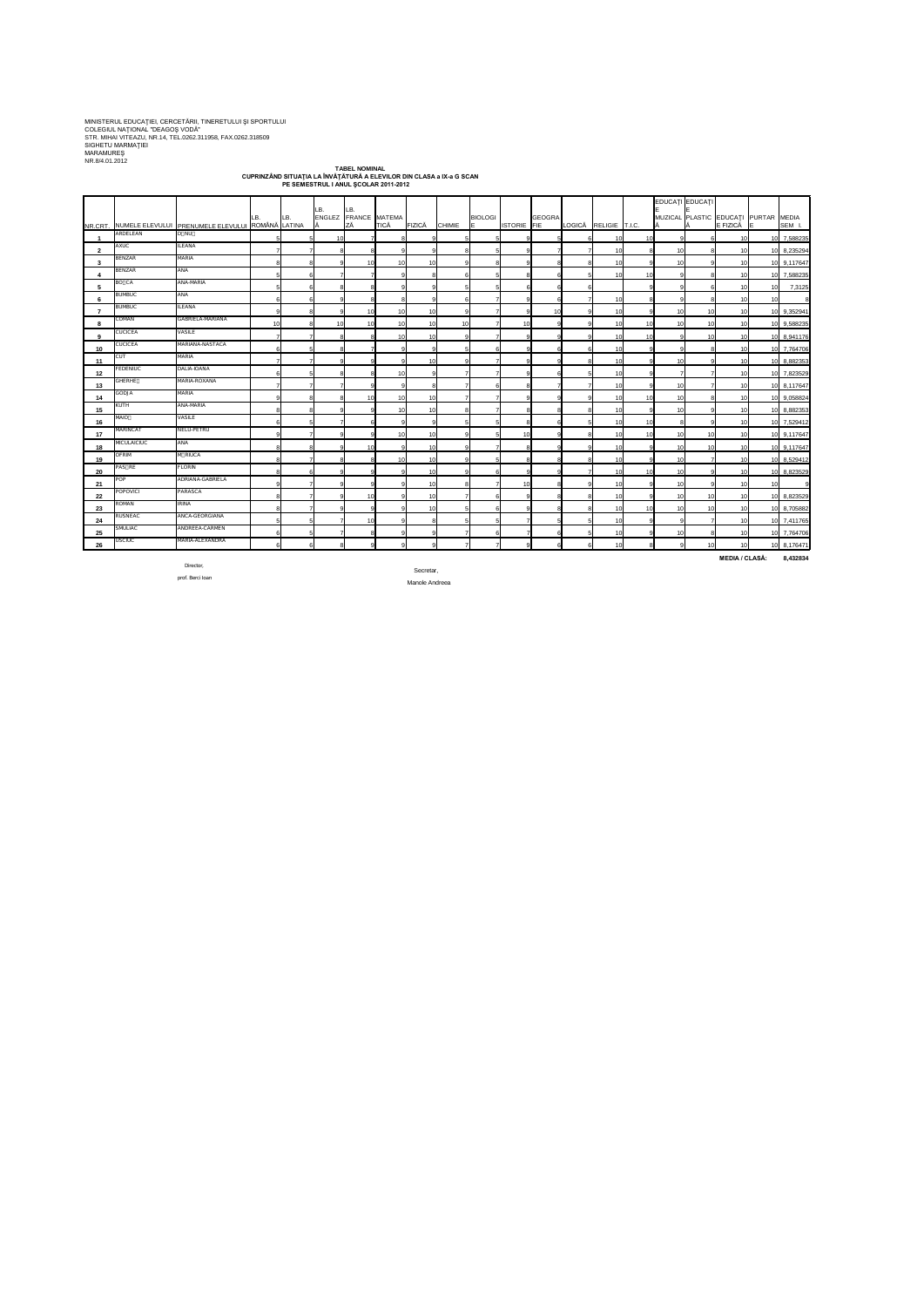MINISTERUL EDUCAŢIEI, CERCETĂRII, TINERETULUI ŞI SPORTULUI COLEGIUL NAŢIONAL "DEAGOŞ VODĂ" STR. MIHAI VITEAZU, NR.14, TEL.0262.311958, FAX.0262.318509 SIGHETU MARMAŢIEI MARAMUREŞ NR.8/4.01.2012

**TABEL NOMINAL CUPRINZÂND SITUAŢIA LA ÎNVĂŢĂTURĂ A ELEVILOR DIN CLASA a IX-a G SCAN PE SEMESTRUL I ANUL ŞCOLAR 2011-2012**

 $\top$ 

|                |                    |                                                          |     |     |                 |                              |             |                 |               |                |             |        |    |                       |           | EDUCAȚI EDUCAȚI |                                      |                 |             |
|----------------|--------------------|----------------------------------------------------------|-----|-----|-----------------|------------------------------|-------------|-----------------|---------------|----------------|-------------|--------|----|-----------------------|-----------|-----------------|--------------------------------------|-----------------|-------------|
|                |                    |                                                          | LB. | LB. | LB.             | ILB.<br>ENGLEZ FRANCE MATEMA |             |                 |               | <b>BIOLOGI</b> |             | GEOGRA |    |                       |           |                 | MUZICAL PLASTIC EDUCAȚI PURTAR MEDIA |                 |             |
|                |                    | NR.CRT. NUMELE ELEVULUI PRENUMELE ELEVULUI ROMÂNĂ LATINA |     |     |                 | ZĂ                           | <b>TICĂ</b> | FIZICĂ          | <b>CHIMIE</b> | IE.            | ISTORIE FIE |        |    | LOGICĂ RELIGIE T.I.C. | IĂ        |                 | E FIZICĂ                             | IE.             | SEM I.      |
|                | ARDELEAN           | D NU                                                     |     |     | 10              |                              |             |                 |               |                |             |        |    | 10I                   | 10        |                 | 10                                   |                 | 7,588235    |
| $\overline{2}$ | AXUC               | <b>ILEANA</b>                                            |     |     |                 |                              |             | $\Omega$        |               |                |             |        |    | 10                    | 10        |                 | 10                                   |                 | 8,235294    |
| 3              | <b>BENZAR</b>      | <b>MARIA</b>                                             |     |     |                 | 10                           | -10         | 10              |               |                |             |        |    | 10                    | 10        |                 | 10                                   |                 | 10 9,117647 |
| -4             | <b>BENZAR</b>      | ANA                                                      |     |     |                 |                              |             |                 |               |                |             |        |    | 10 <sup>1</sup>       | 10        |                 | 10                                   | 10 L            | 7,588235    |
| 5              | BO CA              | ANA-MARIA                                                |     |     |                 |                              |             |                 |               |                |             |        |    |                       |           |                 | 10                                   | 10 <sup>1</sup> | 7,3125      |
| -6             | <b>BUMBUC</b>      | <b>ANA</b>                                               |     |     |                 |                              |             |                 |               |                |             |        |    | 10                    |           |                 | 10                                   | 10 <sup>1</sup> | 8           |
| -7             | <b>BUMBUC</b>      | ILEANA                                                   |     |     |                 | 10                           | -10         | 10I             |               |                |             | -10    |    | 10                    |           | 10              | 10                                   |                 | 10 9,352941 |
| 8              | COMAN              | GABRIELA-MARIANA                                         | 10  |     | 10 <sup>1</sup> | 10                           | 10          | 10 <sup>1</sup> | 10            |                | 10          |        |    | 10                    | 10<br>10  | 10              | 10                                   |                 | 9,588235    |
| 9              | CUCICEA            | VASILE                                                   |     |     |                 |                              | 10          | 10 <sup>1</sup> |               |                |             |        |    | 10                    | 10        | 10              | 10                                   |                 | 10 8,941176 |
| 10             | <b>CUCICEA</b>     | MARIANA-NASTACA                                          |     |     |                 |                              |             |                 |               |                |             |        |    | 10                    |           |                 | 10                                   |                 | 10 7,764706 |
| 11             | CUT                | <b>MARIA</b>                                             |     |     |                 |                              |             | 10I             |               |                |             |        |    | 10                    |           |                 | 10                                   |                 | 10 8,882353 |
| 12             | <b>FEDENIUC</b>    | DALIA-IOANA                                              |     |     |                 |                              | .10         | a               |               |                |             |        |    | 10                    |           |                 | 10                                   |                 | 10 7,823529 |
| 13             | <b>GHERHE</b>      | MARIA-ROXANA                                             |     |     |                 |                              |             |                 |               |                |             |        |    | 10                    | 10        |                 | 10                                   |                 | 10 8,117647 |
| 14             | GODJA              | <b>MARIA</b>                                             |     |     |                 | 10 <sup>1</sup>              | -10         | 10              |               |                |             |        |    | 10I                   | 10<br>10  |                 | 10                                   |                 | 9,058824    |
| 15             | KUTH               | ANA-MARIA                                                |     |     |                 |                              | 10          | 10 <sup>1</sup> |               |                |             |        |    | 10                    | 10        |                 | 10                                   |                 | 10 8,882353 |
| 16             | <b>MAIO</b>        | <b>VASILE</b>                                            |     |     |                 |                              |             |                 |               |                |             |        |    | 10 <sup>1</sup>       | 10        |                 | 10                                   |                 | 10 7,529412 |
| 17             | <b>MARINCAT</b>    | NELU-PETRU                                               |     |     |                 |                              | 10          | 10              |               |                | 10          |        | -8 | 10                    | 10<br>10  | 10              | 10                                   |                 | 10 9,117647 |
| 18             | <b>MICULAICIUC</b> | <b>ANA</b>                                               |     |     |                 | 10                           |             | 10 <sup>1</sup> |               |                |             |        |    | 10                    | 10        | 10              | 10                                   |                 | 10 9,117647 |
| 19             | <b>OFRIM</b>       | M RIUCA                                                  |     |     |                 |                              | 10          | 10 <sup>1</sup> |               |                |             |        |    | 10                    | 10        |                 | 10                                   |                 | 8,529412    |
| 20             | PAS RE             | <b>FLORIN</b>                                            |     |     | 9               |                              |             | 10I             |               | 6              |             |        |    | 10 <sub>l</sub>       | 10<br>10I |                 | 10                                   |                 | 10 8,823529 |
| 21             | <b>POP</b>         | ADRIANA-GABRIELA                                         | 9   |     | 9               |                              |             | 10 <sup>1</sup> |               |                | 10          |        |    | 10 <sup>1</sup>       | 10        |                 | 10                                   | 10              | 9           |
| 22             | <b>POPOVICI</b>    | PARASCA                                                  | 8   |     | a               | 10                           |             | 10 <sup>1</sup> |               | 6              |             |        | 8  | 10                    | 10        | 10              | 10                                   | 10I             | 8,823529    |
| 23             | ROMAN              | <b>IRINA</b>                                             | 8   |     | -91             | <b>Q</b>                     |             | 10 <sup>1</sup> |               | -6             |             |        | 8  | 10                    | 10<br>10  | 10              | 10                                   | 10I             | 8,705882    |
| 24             | RUSNEAC            | ANCA-GEORGIANA                                           | 5   |     |                 | 10                           |             | 8               |               |                |             |        | 5  | 10 <sup>1</sup>       | ۰q        |                 | 10                                   |                 | 10 7,411765 |
| 25             | <b>SMULIAC</b>     | ANDREEA-CARMEN                                           | 6   |     |                 |                              |             | Q               |               |                |             |        |    | 10                    | 10        |                 | 10                                   |                 | 10 7,764706 |
| 26             | <b>USCIUC</b>      | MARIA-ALEXANDRA                                          | 6   |     | 8 <sup>1</sup>  | <b>Q</b>                     |             | 9               |               |                |             |        | 6  | 10                    | 8<br>Q    | 10              | 10                                   |                 | 10 8,176471 |

Director,

Secretar,

prof. Berci Ioan

Manole Andreea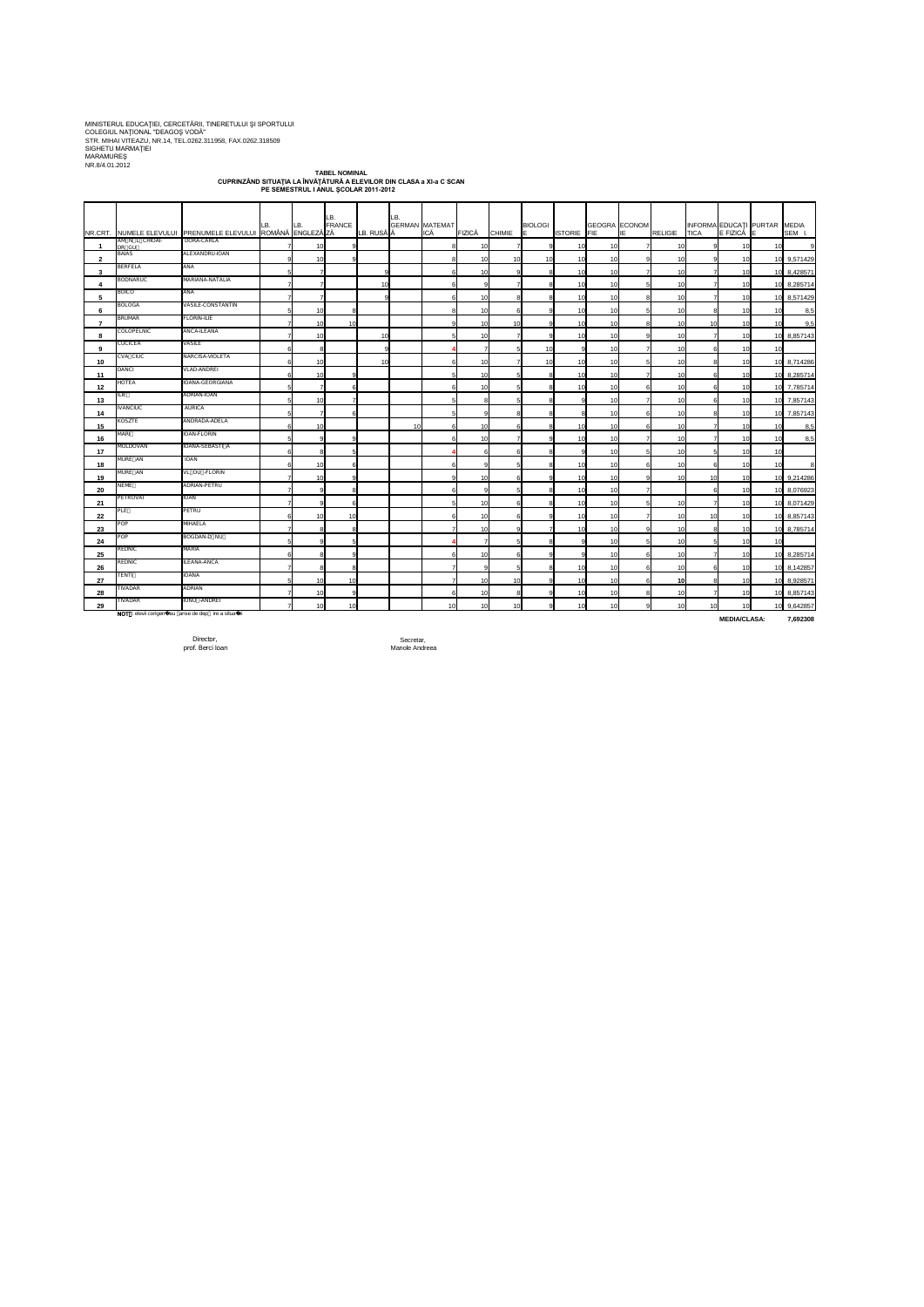MINISTERUL EDUCAŢIEI, CERCETĂRII, TINERETULUI ŞI SPORTULUI COLEGIUL NAŢIONAL "DEAGOŞ VODĂ" STR. MIHAI VITEAZU, NR.14, TEL.0262.311958, FAX.0262.318509 SIGHETU MARMAŢIEI MARAMUREŞ NR.8/4.01.2012

> **TABEL NOMINAL CUPRINZÂND SITUAŢIA LA ÎNVĂŢĂTURĂ A ELEVILOR DIN CLASA a XI-a C SCAN PE SEMESTRUL I ANUL ŞCOLAR 2011-2012**

|                          |                         | INR.CRT. NUMELE ELEVULUI PRENUMELE ELEVULUI ROMÂNĂ ENGLEZĂZZĂ | LB.            | LB.             | LB.<br>FRANCE | LB. RUSĂ A | _B. | <b>GERMAN MATEMAT</b><br>ICĂ | FIZICĂ          | <b>CHIMIE</b>   | <b>BIOLOGI</b><br>IE. | <b>ISTORIE</b> FIE | GEOGRA ECONOM | IE | RELIGIE TICA    |                | INFORMA EDUCAȚI PURTAR<br>$E$ FIZICĂ $E$ |                 | <b>MEDIA</b><br>SEM I. |
|--------------------------|-------------------------|---------------------------------------------------------------|----------------|-----------------|---------------|------------|-----|------------------------------|-----------------|-----------------|-----------------------|--------------------|---------------|----|-----------------|----------------|------------------------------------------|-----------------|------------------------|
|                          | AM N L CHIOAI-<br>DR GU | DORA-CARLA                                                    |                | 10 <sup>1</sup> | 9             |            |     |                              | 10 <sup>1</sup> |                 | -9                    | 10                 |               |    | 10              |                | 10I                                      | 10              |                        |
| $\mathbf{2}$             | <b>BAIAS</b>            | ALEXANDRU-IOAN                                                |                | 10              |               |            |     |                              | 10I             | 10 <sup>1</sup> | 10                    | 10                 | 10            |    | 10              |                | 10I                                      |                 | 10 9,571429            |
| 3                        | <b>BERFELA</b>          | ANA                                                           |                |                 |               |            |     |                              | 10l             |                 | 8                     | -10                | 10            |    | 10 <sup>1</sup> |                | 10                                       |                 | 10 8,428571            |
| 4                        | <b>BODNARUC</b>         | MARIANA-NATALIA                                               |                |                 |               | 10         |     |                              |                 |                 | 8                     | 10                 |               |    | 10              |                | 10                                       |                 | 10 8,285714            |
| 5                        | <b>BOICO</b>            | <b>ANA</b>                                                    |                |                 |               |            |     |                              | 10              |                 |                       | 10                 |               |    | 10              |                | 10I                                      |                 | 10 8,571429            |
| 6                        | <b>BOLOGA</b>           | <b>VASILE-CONSTANTIN</b>                                      |                | 10              |               |            |     |                              | 10 <sub>l</sub> |                 | Q                     | 10                 | 10            |    | 10              |                | 10 <sup>1</sup>                          | 10 <sup>1</sup> | 8,5                    |
| $\overline{\phantom{a}}$ | <b>BRUMAR</b>           | <b>FLORIN-ILIE</b>                                            |                | 10 <sup>1</sup> | 10            |            |     |                              | 10 <sup>1</sup> | 10 <sup>1</sup> | $\mathsf{Q}$          | 10                 | 10            |    | 10              | 10             | 10                                       | 10 <sup>1</sup> | 9,5                    |
| 8                        | <b>COLOPELNIC</b>       | ANCA-ILEANA                                                   |                | 10              |               | 10         |     |                              | 10 <sup>1</sup> |                 | -9                    | 10                 | 10            |    | 10              |                | 10                                       |                 | 10 8,857143            |
| 9                        | <b>CUCICEA</b>          | VASILE                                                        |                |                 |               |            |     |                              |                 |                 | 10                    |                    | 10            |    | 10              |                | 10                                       | 10              |                        |
| 10 <sub>1</sub>          | CVA CIUC                | NARCISA-VIOLETA                                               | 6              | 10              |               | 10         |     |                              | 10 <sup>1</sup> |                 | 10                    | 10                 | 10            |    | 10              |                | 10                                       |                 | 10 8,714286            |
| 11                       | <b>DANCI</b>            | <b>VLAD-ANDREI</b>                                            | 6              | 10              |               |            |     |                              | 10I             |                 |                       | 10                 |               |    | 10              |                | 10                                       |                 | 10 8,285714            |
| 12                       | <b>HOTEA</b>            | IOANA-GEORGIANA                                               |                |                 |               |            |     |                              | 10              |                 | 8                     | 10                 |               |    | 10              |                | 10                                       |                 | 10 7,785714            |
| 13                       | ILIE                    | ADRIAN-IOAN                                                   | 5              | 10              |               |            |     |                              | 8               |                 | -8                    |                    |               |    | 10 <sup>1</sup> |                | 10                                       |                 | 10 7,857143            |
| 14                       | <b>IVANCIUC</b>         | AURICA                                                        |                |                 |               |            |     |                              |                 |                 | 8                     |                    | 10            |    | 10              |                | 10                                       |                 | 10 7,857143            |
| 15                       | KOSZTE                  | ANDRADA-ADELA                                                 |                | 10              |               |            | 10  |                              | 10 <sup>1</sup> |                 | -8                    | 10                 | 10            |    | 10              |                | 10I                                      | 10 <sup>1</sup> | 8,5                    |
| 16                       | MARI                    | <b>IOAN-FLORIN</b>                                            |                |                 |               |            |     |                              | 10I             |                 | g                     | 10                 | 10            |    | 10              |                | 10I                                      | 10I             | 8,5                    |
| 17                       | MOLDOVAN                | IOANA-SEBASTI A                                               |                |                 |               |            |     |                              |                 |                 | 8                     |                    | 10            |    | 10 <sup>1</sup> |                | 10                                       | 10              |                        |
| 18                       | MURE AN                 | <b>IOAN</b>                                                   |                | 10              |               |            |     |                              |                 |                 |                       | 10                 | 10            |    | 10              |                | 10 <sup>1</sup>                          | 10I             |                        |
| 19                       | MURE AN                 | VL DU -FLORIN                                                 |                | 10              | a             |            |     |                              | 10              |                 |                       | 10                 |               |    | 10              | 10             | 10                                       |                 | 10 9,214286            |
| 20                       | <b>NEME</b>             | ADRIAN-PETRU                                                  |                |                 |               |            |     |                              |                 |                 |                       | 10                 |               |    |                 |                | 10                                       |                 | 10 8,076923            |
| 21                       | PETROVAI                | <b>IOAN</b>                                                   | 71             | -91             | $6 \mid$      |            |     |                              | 10 <sub>1</sub> | -61             | 8 <sup>1</sup>        | 10                 | 10            | 5  | 10 <sup>1</sup> | $\overline{7}$ | 10 <sub>1</sub>                          |                 | 10 8,071429            |
| 22                       | PLE                     | PETRU                                                         | 6              | 10              | 10            |            |     |                              | 10              |                 | 9                     | 10                 | 10            |    | 10              | 10             | 10                                       |                 | 10 8,857143            |
| 23                       | POP                     | MIHAELA                                                       |                |                 | 8             |            |     |                              | 10              | <b>q</b>        | $\overline{7}$        | 10                 | 10            |    | 10              | 8 <sup>1</sup> | 10                                       |                 | 10 8,785714            |
| 24                       | POP                     | BOGDAN-D NU                                                   | 5              |                 | 5             |            |     |                              |                 |                 | 8                     |                    | 10            |    | 10              |                | 10                                       | 10 <sup>1</sup> |                        |
| $25\,$                   | REDNIC                  | <b>MARIA</b>                                                  | 6              |                 | 9             |            |     |                              | 10 <sup>1</sup> |                 | -9                    |                    | 10            |    | 10              |                | 10                                       |                 | 10 8,285714            |
| 26                       | REDNIC                  | ILEANA-ANCA                                                   |                |                 | 8             |            |     |                              |                 |                 | -81                   | 10                 | 10            |    | 10              |                | 10                                       |                 | 10 8,142857            |
| 27                       | <b>TENTI</b>            | <b>IOANA</b>                                                  | 5 <sub>l</sub> | 10              | 10            |            |     |                              | 10              | 10 <sup>1</sup> | -9                    | 10                 | 10            |    | 10              | 8 <sup>1</sup> | 10                                       |                 | 10 8,928571            |
| 28                       | TIVADAR                 | ADRIAN                                                        |                | 10              | -9            |            |     |                              | 10 <sup>1</sup> |                 | 9                     | 10                 | 10            |    | 10              |                | 10 <sub>1</sub>                          |                 | 10 8,857143            |
| 29                       | TIVADAR                 | IONU -ANDREI                                                  | $\overline{7}$ | 10              | 10            |            |     | 10                           | 10 <sub>1</sub> | 10 <sub>1</sub> | 9                     | 10                 | 10            | a  | 10 <sup>1</sup> | 10             | 10                                       |                 | 10 9,642857            |
|                          |                         | NOT : elevii corigen i au anse de dep ire a situa iei         |                |                 |               |            |     |                              |                 |                 |                       |                    |               |    |                 |                | <b>MEDIA/CLASA:</b>                      |                 | 7,692308               |

Manole Andreea